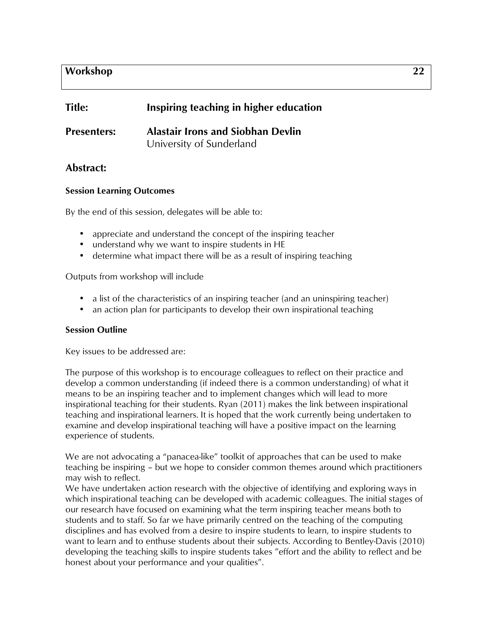# **Workshop 22**

| <b>Title:</b>      | Inspiring teaching in higher education                               |
|--------------------|----------------------------------------------------------------------|
| <b>Presenters:</b> | <b>Alastair Irons and Siobhan Devlin</b><br>University of Sunderland |

## **Abstract:**

### **Session Learning Outcomes**

By the end of this session, delegates will be able to:

- appreciate and understand the concept of the inspiring teacher
- understand why we want to inspire students in HE
- determine what impact there will be as a result of inspiring teaching

Outputs from workshop will include

- a list of the characteristics of an inspiring teacher (and an uninspiring teacher)
- an action plan for participants to develop their own inspirational teaching

### **Session Outline**

Key issues to be addressed are:

The purpose of this workshop is to encourage colleagues to reflect on their practice and develop a common understanding (if indeed there is a common understanding) of what it means to be an inspiring teacher and to implement changes which will lead to more inspirational teaching for their students. Ryan (2011) makes the link between inspirational teaching and inspirational learners. It is hoped that the work currently being undertaken to examine and develop inspirational teaching will have a positive impact on the learning experience of students.

We are not advocating a "panacea-like" toolkit of approaches that can be used to make teaching be inspiring – but we hope to consider common themes around which practitioners may wish to reflect.

We have undertaken action research with the objective of identifying and exploring ways in which inspirational teaching can be developed with academic colleagues. The initial stages of our research have focused on examining what the term inspiring teacher means both to students and to staff. So far we have primarily centred on the teaching of the computing disciplines and has evolved from a desire to inspire students to learn, to inspire students to want to learn and to enthuse students about their subjects. According to Bentley-Davis (2010) developing the teaching skills to inspire students takes "effort and the ability to reflect and be honest about your performance and your qualities".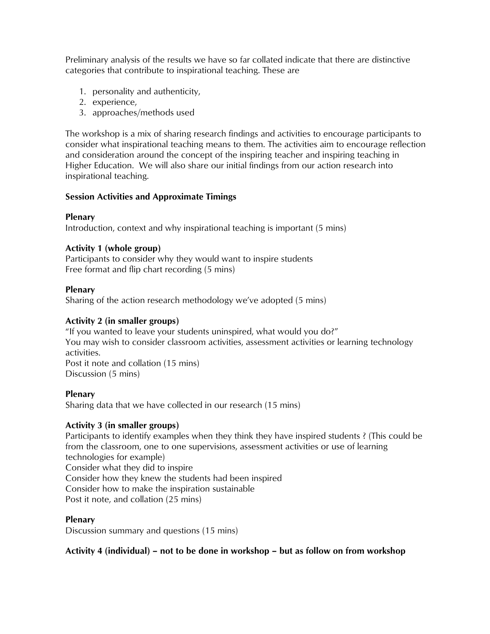Preliminary analysis of the results we have so far collated indicate that there are distinctive categories that contribute to inspirational teaching. These are

- 1. personality and authenticity,
- 2. experience,
- 3. approaches/methods used

The workshop is a mix of sharing research findings and activities to encourage participants to consider what inspirational teaching means to them. The activities aim to encourage reflection and consideration around the concept of the inspiring teacher and inspiring teaching in Higher Education. We will also share our initial findings from our action research into inspirational teaching.

### **Session Activities and Approximate Timings**

### **Plenary**

Introduction, context and why inspirational teaching is important (5 mins)

### **Activity 1 (whole group)**

Participants to consider why they would want to inspire students Free format and flip chart recording (5 mins)

### **Plenary**

Sharing of the action research methodology we've adopted (5 mins)

### **Activity 2 (in smaller groups)**

"If you wanted to leave your students uninspired, what would you do?" You may wish to consider classroom activities, assessment activities or learning technology activities. Post it note and collation (15 mins) Discussion (5 mins)

## **Plenary**

Sharing data that we have collected in our research (15 mins)

### **Activity 3 (in smaller groups)**

Participants to identify examples when they think they have inspired students ? (This could be from the classroom, one to one supervisions, assessment activities or use of learning technologies for example) Consider what they did to inspire Consider how they knew the students had been inspired Consider how to make the inspiration sustainable Post it note, and collation (25 mins)

### **Plenary**

Discussion summary and questions (15 mins)

## **Activity 4 (individual) – not to be done in workshop – but as follow on from workshop**